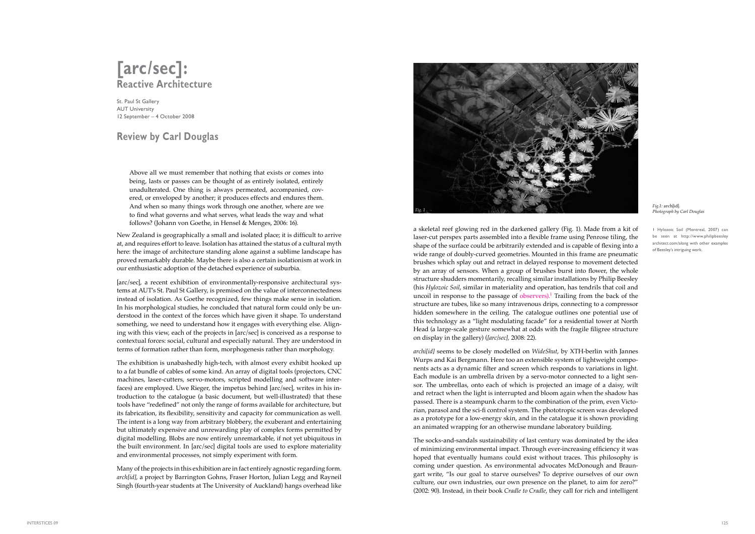## **[arc/sec]: Reactive Architecture**

St. Paul St Gallery AUT University 12 September – 4 October 2008

## **Review by Carl Douglas**

Above all we must remember that nothing that exists or comes into being, lasts or passes can be thought of as entirely isolated, entirely unadulterated. One thing is always permeated, accompanied, covered, or enveloped by another; it produces effects and endures them. And when so many things work through one another, where are we to find what governs and what serves, what leads the way and what follows? (Johann von Goethe, in Hensel & Menges, 2006: 16).

New Zealand is geographically a small and isolated place; it is difficult to arrive at, and requires effort to leave. Isolation has attained the status of a cultural myth here: the image of architecture standing alone against a sublime landscape has proved remarkably durable. Maybe there is also a certain isolationism at work in our enthusiastic adoption of the detached experience of suburbia.

[arc/sec], a recent exhibition of environmentally-responsive architectural systems at AUT's St. Paul St Gallery, is premised on the value of interconnectedness instead of isolation. As Goethe recognized, few things make sense in isolation. In his morphological studies, he concluded that natural form could only be understood in the context of the forces which have given it shape. To understand something, we need to understand how it engages with everything else. Aligning with this view, each of the projects in [arc/sec] is conceived as a response to contextual forces: social, cultural and especially natural. They are understood in terms of formation rather than form, morphogenesis rather than morphology.

The exhibition is unabashedly high-tech, with almost every exhibit hooked up to a fat bundle of cables of some kind. An array of digital tools (projectors, CNC machines, laser-cutters, servo-motors, scripted modelling and software interfaces) are employed. Uwe Rieger, the impetus behind [arc/sec], writes in his introduction to the catalogue (a basic document, but well-illustrated) that these tools have "redefined" not only the range of forms available for architecture, but its fabrication, its flexibility, sensitivity and capacity for communication as well. The intent is a long way from arbitrary blobbery, the exuberant and entertaining but ultimately expensive and unrewarding play of complex forms permitted by digital modelling. Blobs are now entirely unremarkable, if not yet ubiquitous in the built environment. In [arc/sec] digital tools are used to explore materiality and environmental processes, not simply experiment with form.

Many of the projects in this exhibition are in fact entirely agnostic regarding form. *arch[id]*, a project by Barrington Gohns, Fraser Horton, Julian Legg and Rayneil Singh (fourth-year students at The University of Auckland) hangs overhead like

a skeletal reef glowing red in the darkened gallery (Fig. 1). Made from a kit of laser-cut perspex parts assembled into a flexible frame using Penrose tiling, the shape of the surface could be arbitrarily extended and is capable of flexing into a wide range of doubly-curved geometries. Mounted in this frame are pneumatic brushes which splay out and retract in delayed response to movement detected by an array of sensors. When a group of brushes burst into flower, the whole structure shudders momentarily, recalling similar installations by Philip Beesley (his *Hylozoic Soil*, similar in materiality and operation, has tendrils that coil and uncoil in response to the passage of observers).<sup>1</sup> Trailing from the back of the structure are tubes, like so many intravenous drips, connecting to a compressor hidden somewhere in the ceiling. The catalogue outlines one potential use of this technology as a "light modulating facade" for a residential tower at North Head (a large-scale gesture somewhat at odds with the fragile filigree structure on display in the gallery) (*[arc/sec],* 2008: 22).

*archi[id]* seems to be closely modelled on *WideShut*, by XTH-berlin with Jannes Wurps and Kai Bergmann. Here too an extensible system of lightweight components acts as a dynamic filter and screen which responds to variations in light. Each module is an umbrella driven by a servo-motor connected to a light sensor. The umbrellas, onto each of which is projected an image of a daisy, wilt and retract when the light is interrupted and bloom again when the shadow has passed. There is a steampunk charm to the combination of the prim, even Victorian, parasol and the sci-fi control system. The phototropic screen was developed as a prototype for a low-energy skin, and in the catalogue it is shown providing an animated wrapping for an otherwise mundane laboratory building.

The socks-and-sandals sustainability of last century was dominated by the idea of minimizing environmental impact. Through ever-increasing efficiency it was hoped that eventually humans could exist without traces. This philosophy is coming under question. As environmental advocates McDonough and Braungart write, "Is our goal to starve ourselves? To deprive ourselves of our own culture, our own industries, our own presence on the planet, to aim for zero?" (2002: 90). Instead, in their book *Cradle to Cradle*, they call for rich and intelligent

1 Hylozoic Soil (Montreal, 2007) can be seen at http://www.philipbeesley architect.com/along with other examples of Beesley's intriguing work.



## *Photograph by Carl Douglas*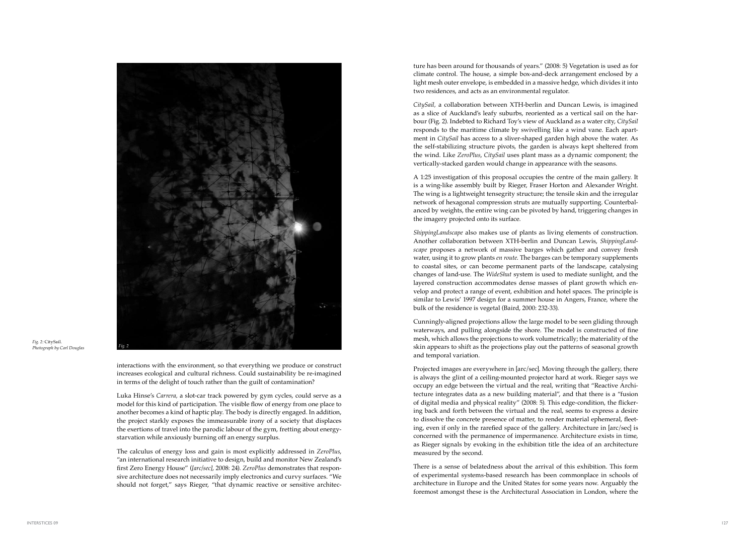interactions with the environment, so that everything we produce or construct increases ecological and cultural richness. Could sustainability be re-imagined in terms of the delight of touch rather than the guilt of contamination?

Luka Hinse's *Carrera,* a slot-car track powered by gym cycles, could serve as a model for this kind of participation. The visible flow of energy from one place to another becomes a kind of haptic play. The body is directly engaged. In addition, the project starkly exposes the immeasurable irony of a society that displaces the exertions of travel into the parodic labour of the gym, fretting about energystarvation while anxiously burning off an energy surplus.

The calculus of energy loss and gain is most explicitly addressed in *ZeroPlus*, "an international research initiative to design, build and monitor New Zealand's first Zero Energy House" (*[arc/sec]*, 2008: 24). *ZeroPlus* demonstrates that responsive architecture does not necessarily imply electronics and curvy surfaces. "We should not forget," says Rieger, "that dynamic reactive or sensitive architec -

ture has been around for thousands of years." (2008: 5) Vegetation is used as for climate control. The house, a simple box-and-deck arrangement enclosed by a light mesh outer envelope, is embedded in a massive hedge, which divides it into two residences, and acts as an environmental regulator.

*CitySail,* a collaboration between XTH-berlin and Duncan Lewis, is imagined as a slice of Auckland's leafy suburbs, reoriented as a vertical sail on the harbour (Fig. 2). Indebted to Richard Toy's view of Auckland as a water city, *CitySail* responds to the maritime climate by swivelling like a wind vane. Each apartment in *CitySail* has access to a sliver-shaped garden high above the water. As the self-stabilizing structure pivots, the garden is always kept sheltered from the wind. Like *ZeroPlus*, *CitySail* uses plant mass as a dynamic component; the vertically-stacked garden would change in appearance with the seasons.

A 1:25 investigation of this proposal occupies the centre of the main gallery. It is a wing-like assembly built by Rieger, Fraser Horton and Alexander Wright. The wing is a lightweight tensegrity structure; the tensile skin and the irregular network of hexagonal compression struts are mutually supporting. Counterbalanced by weights, the entire wing can be pivoted by hand, triggering changes in the imagery projected onto its surface.

*ShippingLandscape* also makes use of plants as living elements of construction. Another collaboration between XTH-berlin and Duncan Lewis, *ShippingLand scape* proposes a network of massive barges which gather and convey fresh water, using it to grow plants *en route*. The barges can be temporary supplements to coastal sites, or can become permanent parts of the landscape, catalysing changes of land-use. The *WideShut* system is used to mediate sunlight, and the layered construction accommodates dense masses of plant growth which envelop and protect a range of event, exhibition and hotel spaces. The principle is similar to Lewis' 1997 design for a summer house in Angers, France, where the bulk of the residence is vegetal (Baird, 2000: 232-33).

Cunningly-aligned projections allow the large model to be seen gliding through waterways, and pulling alongside the shore. The model is constructed of fine mesh, which allows the projections to work volumetrically; the materiality of the skin appears to shift as the projections play out the patterns of seasonal growth and temporal variation.

Projected images are everywhere in [arc/sec]. Moving through the gallery, there is always the glint of a ceiling-mounted projector hard at work. Rieger says we occupy an edge between the virtual and the real, writing that "Reactive Architecture integrates data as a new building material", and that there is a "fusion of digital media and physical reality" (2008: 5). This edge-condition, the flicker ing back and forth between the virtual and the real, seems to express a desire to dissolve the concrete presence of matter, to render material ephemeral, fleet ing, even if only in the rarefied space of the gallery. Architecture in [arc/sec] is concerned with the permanence of impermanence. Architecture exists in time, as Rieger signals by evoking in the exhibition title the idea of an architecture measured by the second.

There is a sense of belatedness about the arrival of this exhibition. This form of experimental systems-based research has been commonplace in schools of architecture in Europe and the United States for some years now. Arguably the foremost amongst these is the Architectural Association in London, where the



*Fig. 2 Fig. 2:* CitySail. *Photograph by Carl Douglas*